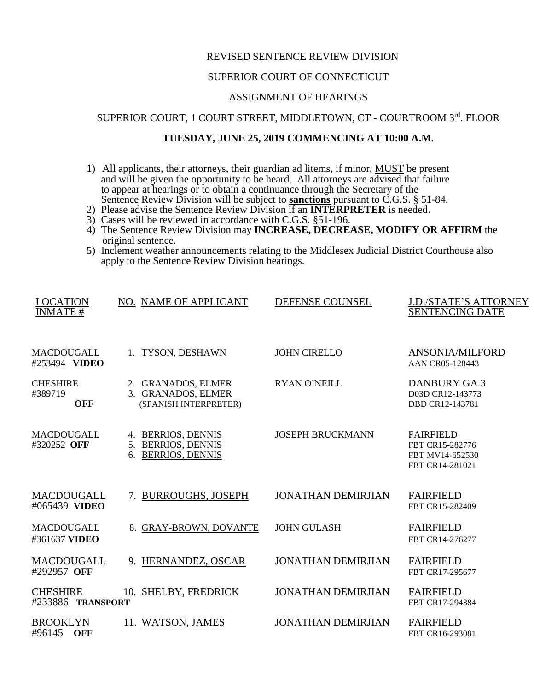### REVISED SENTENCE REVIEW DIVISION

# SUPERIOR COURT OF CONNECTICUT

#### ASSIGNMENT OF HEARINGS

# SUPERIOR COURT, 1 COURT STREET, MIDDLETOWN, CT - COURTROOM 3rd. FLOOR

## **TUESDAY, JUNE 25, 2019 COMMENCING AT 10:00 A.M.**

- 1) All applicants, their attorneys, their guardian ad litems, if minor, MUST be present and will be given the opportunity to be heard. All attorneys are advised that failure to appear at hearings or to obtain a continuance through the Secretary of the Sentence Review Division will be subject to **sanctions** pursuant to C.G.S. § 51-84.
- 2) Please advise the Sentence Review Division if an **INTERPRETER** is needed.
- 3) Cases will be reviewed in accordance with C.G.S. §51-196.
- 4) The Sentence Review Division may **INCREASE, DECREASE, MODIFY OR AFFIRM** the original sentence.
- 5) Inclement weather announcements relating to the Middlesex Judicial District Courthouse also apply to the Sentence Review Division hearings.

| <b>LOCATION</b><br><b>INMATE#</b>        | NO. NAME OF APPLICANT                                             | DEFENSE COUNSEL           | <b>J.D./STATE'S ATTORNEY</b><br><b>SENTENCING DATE</b>                    |
|------------------------------------------|-------------------------------------------------------------------|---------------------------|---------------------------------------------------------------------------|
| MACDOUGALL<br>#253494 VIDEO              | 1. TYSON, DESHAWN                                                 | <b>JOHN CIRELLO</b>       | <b>ANSONIA/MILFORD</b><br>AAN CR05-128443                                 |
| <b>CHESHIRE</b><br>#389719<br><b>OFF</b> | 2. GRANADOS, ELMER<br>3. GRANADOS, ELMER<br>(SPANISH INTERPRETER) | <b>RYAN O'NEILL</b>       | <b>DANBURY GA3</b><br>D03D CR12-143773<br>DBD CR12-143781                 |
| MACDOUGALL<br>#320252 OFF                | 4. BERRIOS, DENNIS<br>5. BERRIOS, DENNIS<br>6. BERRIOS, DENNIS    | <b>JOSEPH BRUCKMANN</b>   | <b>FAIRFIELD</b><br>FBT CR15-282776<br>FBT MV14-652530<br>FBT CR14-281021 |
| MACDOUGALL<br>#065439 VIDEO              | 7. BURROUGHS, JOSEPH                                              | <b>JONATHAN DEMIRJIAN</b> | <b>FAIRFIELD</b><br>FBT CR15-282409                                       |
| MACDOUGALL<br>#361637 VIDEO              | 8. GRAY-BROWN, DOVANTE                                            | <b>JOHN GULASH</b>        | <b>FAIRFIELD</b><br>FBT CR14-276277                                       |
| MACDOUGALL<br>#292957 OFF                | 9. HERNANDEZ, OSCAR                                               | <b>JONATHAN DEMIRJIAN</b> | <b>FAIRFIELD</b><br>FBT CR17-295677                                       |
| <b>CHESHIRE</b><br>#233886 TRANSPORT     | 10. SHELBY, FREDRICK                                              | <b>JONATHAN DEMIRJIAN</b> | <b>FAIRFIELD</b><br>FBT CR17-294384                                       |
| BROOKLYN<br>#96145 OFF                   | 11. WATSON, JAMES                                                 | <b>JONATHAN DEMIRJIAN</b> | <b>FAIRFIELD</b><br>FBT CR16-293081                                       |